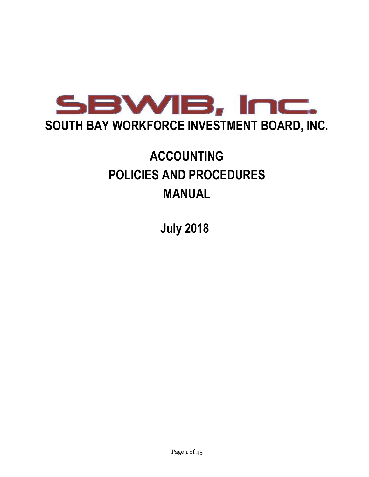

# **ACCOUNTING POLICIES AND PROCEDURES MANUAL**

 **July 2018**

Page 1 of 45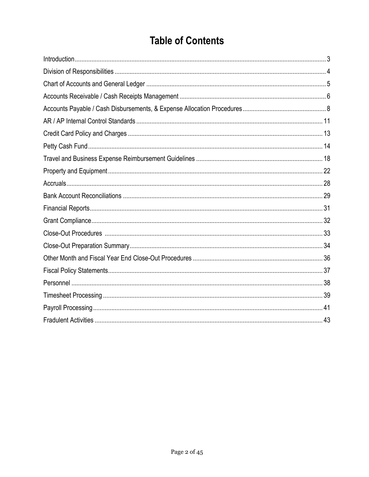# **Table of Contents**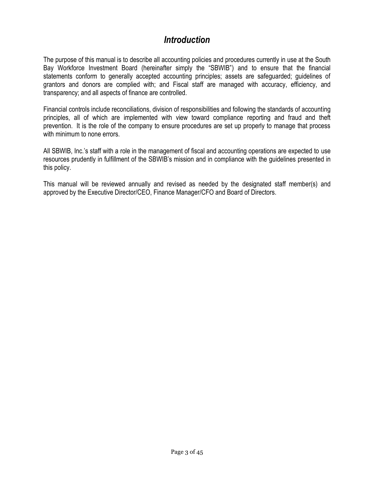# *Introduction*

<span id="page-2-0"></span>The purpose of this manual is to describe all accounting policies and procedures currently in use at the South Bay Workforce Investment Board (hereinafter simply the "SBWIB") and to ensure that the financial statements conform to generally accepted accounting principles; assets are safeguarded; guidelines of grantors and donors are complied with; and Fiscal staff are managed with accuracy, efficiency, and transparency; and all aspects of finance are controlled.

Financial controls include reconciliations, division of responsibilities and following the standards of accounting principles, all of which are implemented with view toward compliance reporting and fraud and theft prevention. It is the role of the company to ensure procedures are set up properly to manage that process with minimum to none errors.

All SBWIB, Inc.'s staff with a role in the management of fiscal and accounting operations are expected to use resources prudently in fulfillment of the SBWIB's mission and in compliance with the guidelines presented in this policy.

<span id="page-2-1"></span>This manual will be reviewed annually and revised as needed by the designated staff member(s) and approved by the Executive Director/CEO, Finance Manager/CFO and Board of Directors.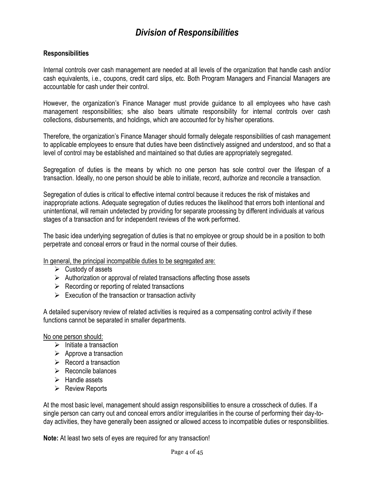# *Division of Responsibilities*

### **Responsibilities**

Internal controls over cash management are needed at all levels of the organization that handle cash and/or cash equivalents, i.e., coupons, credit card slips, etc. Both Program Managers and Financial Managers are accountable for cash under their control.

However, the organization's Finance Manager must provide guidance to all employees who have cash management responsibilities; s/he also bears ultimate responsibility for internal controls over cash collections, disbursements, and holdings, which are accounted for by his/her operations.

Therefore, the organization's Finance Manager should formally delegate responsibilities of cash management to applicable employees to ensure that duties have been distinctively assigned and understood, and so that a level of control may be established and maintained so that duties are appropriately segregated.

Segregation of duties is the means by which no one person has sole control over the lifespan of a transaction. Ideally, no one person should be able to initiate, record, authorize and reconcile a transaction.

Segregation of duties is critical to effective internal control because it reduces the risk of mistakes and inappropriate actions. Adequate segregation of duties reduces the likelihood that errors both intentional and unintentional, will remain undetected by providing for separate processing by different individuals at various stages of a transaction and for independent reviews of the work performed.

The basic idea underlying segregation of duties is that no employee or group should be in a position to both perpetrate and conceal errors or fraud in the normal course of their duties.

In general, the principal incompatible duties to be segregated are:

- $\triangleright$  Custody of assets
- $\triangleright$  Authorization or approval of related transactions affecting those assets
- $\triangleright$  Recording or reporting of related transactions
- $\triangleright$  Execution of the transaction or transaction activity

A detailed supervisory review of related activities is required as a compensating control activity if these functions cannot be separated in smaller departments.

#### No one person should:

- $\triangleright$  Initiate a transaction
- $\triangleright$  Approve a transaction
- $\triangleright$  Record a transaction
- $\triangleright$  Reconcile balances
- $\triangleright$  Handle assets
- $\triangleright$  Review Reports

At the most basic level, management should assign responsibilities to ensure a crosscheck of duties. If a single person can carry out and conceal errors and/or irregularities in the course of performing their day-today activities, they have generally been assigned or allowed access to incompatible duties or responsibilities.

**Note:** At least two sets of eyes are required for any transaction!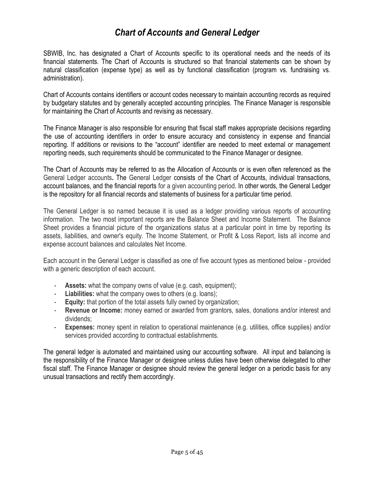# *Chart of Accounts and General Ledger*

<span id="page-4-0"></span>SBWIB, Inc. has designated a Chart of Accounts specific to its operational needs and the needs of its financial statements. The Chart of Accounts is structured so that financial statements can be shown by natural classification (expense type) as well as by functional classification (program vs. fundraising vs. administration).

Chart of Accounts contains identifiers or account codes necessary to maintain accounting records as required by budgetary statutes and by generally accepted accounting principles. The Finance Manager is responsible for maintaining the Chart of Accounts and revising as necessary.

The Finance Manager is also responsible for ensuring that fiscal staff makes appropriate decisions regarding the use of accounting identifiers in order to ensure accuracy and consistency in expense and financial reporting. If additions or revisions to the "account" identifier are needed to meet external or management reporting needs, such requirements should be communicated to the Finance Manager or designee.

The Chart of Accounts may be referred to as the Allocation of Accounts or is even often referenced as the General Ledger accounts**.** The General Ledger consists of the Chart of Accounts, individual transactions, account balances, and the financial reports for a given accounting period. In other words, the General Ledger is the repository for all financial records and statements of business for a particular time period.

The General Ledger is so named because it is used as a ledger providing various reports of accounting information. The two most important reports are the Balance Sheet and Income Statement. The Balance Sheet provides a financial picture of the organizations status at a particular point in time by reporting its assets, liabilities, and owner's equity. The Income Statement, or Profit & Loss Report, lists all income and expense account balances and calculates Net Income.

Each account in the General Ledger is classified as one of five account types as mentioned below - provided with a generic description of each account.

- **Assets:** what the company owns of value (e.g. cash, equipment);
- **Liabilities:** what the company owes to others (e.g. loans);
- **Equity:** that portion of the total assets fully owned by organization;
- **Revenue or Income:** money earned or awarded from grantors, sales, donations and/or interest and dividends;
- **Expenses:** money spent in relation to operational maintenance (e.g. utilities, office supplies) and/or services provided according to contractual establishments.

The general ledger is automated and maintained using our accounting software. All input and balancing is the responsibility of the Finance Manager or designee unless duties have been otherwise delegated to other fiscal staff. The Finance Manager or designee should review the general ledger on a periodic basis for any unusual transactions and rectify them accordingly.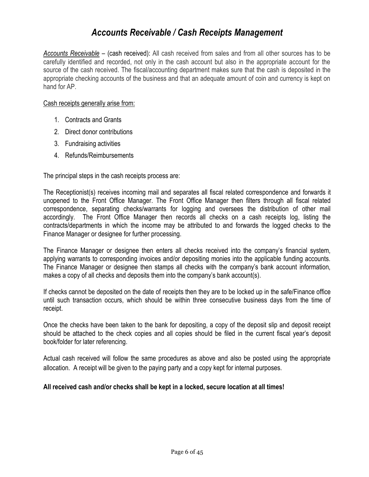# <span id="page-5-0"></span>*Accounts Receivable / Cash Receipts Management*

*Accounts Receivable* – (cash received): All cash received from sales and from all other sources has to be carefully identified and recorded, not only in the cash account but also in the appropriate account for the source of the cash received. The fiscal/accounting department makes sure that the cash is deposited in the appropriate checking accounts of the business and that an adequate amount of coin and currency is kept on hand for AP.

#### Cash receipts generally arise from:

- 1. Contracts and Grants
- 2. Direct donor contributions
- 3. Fundraising activities
- 4. Refunds/Reimbursements

The principal steps in the cash receipts process are:

The Receptionist(s) receives incoming mail and separates all fiscal related correspondence and forwards it unopened to the Front Office Manager. The Front Office Manager then filters through all fiscal related correspondence, separating checks/warrants for logging and oversees the distribution of other mail accordingly. The Front Office Manager then records all checks on a cash receipts log, listing the contracts/departments in which the income may be attributed to and forwards the logged checks to the Finance Manager or designee for further processing.

The Finance Manager or designee then enters all checks received into the company's financial system, applying warrants to corresponding invoices and/or depositing monies into the applicable funding accounts. The Finance Manager or designee then stamps all checks with the company's bank account information, makes a copy of all checks and deposits them into the company's bank account(s).

If checks cannot be deposited on the date of receipts then they are to be locked up in the safe/Finance office until such transaction occurs, which should be within three consecutive business days from the time of receipt.

Once the checks have been taken to the bank for depositing, a copy of the deposit slip and deposit receipt should be attached to the check copies and all copies should be filed in the current fiscal year's deposit book/folder for later referencing.

Actual cash received will follow the same procedures as above and also be posted using the appropriate allocation. A receipt will be given to the paying party and a copy kept for internal purposes.

#### **All received cash and/or checks shall be kept in a locked, secure location at all times!**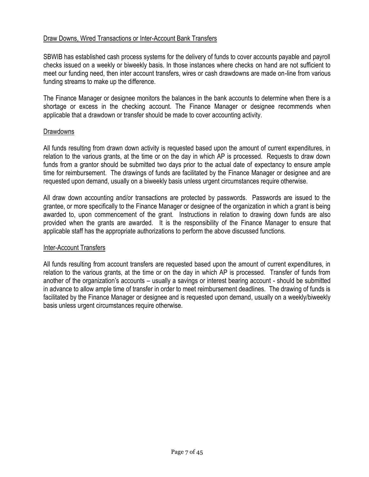#### <span id="page-6-0"></span>Draw Downs, Wired Transactions or Inter-Account Bank Transfers

SBWIB has established cash process systems for the delivery of funds to cover accounts payable and payroll checks issued on a weekly or biweekly basis. In those instances where checks on hand are not sufficient to meet our funding need, then inter account transfers, wires or cash drawdowns are made on-line from various funding streams to make up the difference.

The Finance Manager or designee monitors the balances in the bank accounts to determine when there is a shortage or excess in the checking account. The Finance Manager or designee recommends when applicable that a drawdown or transfer should be made to cover accounting activity.

#### Drawdowns

All funds resulting from drawn down activity is requested based upon the amount of current expenditures, in relation to the various grants, at the time or on the day in which AP is processed. Requests to draw down funds from a grantor should be submitted two days prior to the actual date of expectancy to ensure ample time for reimbursement. The drawings of funds are facilitated by the Finance Manager or designee and are requested upon demand, usually on a biweekly basis unless urgent circumstances require otherwise.

All draw down accounting and/or transactions are protected by passwords. Passwords are issued to the grantee, or more specifically to the Finance Manager or designee of the organization in which a grant is being awarded to, upon commencement of the grant. Instructions in relation to drawing down funds are also provided when the grants are awarded. It is the responsibility of the Finance Manager to ensure that applicable staff has the appropriate authorizations to perform the above discussed functions.

#### Inter-Account Transfers

All funds resulting from account transfers are requested based upon the amount of current expenditures, in relation to the various grants, at the time or on the day in which AP is processed. Transfer of funds from another of the organization's accounts – usually a savings or interest bearing account - should be submitted in advance to allow ample time of transfer in order to meet reimbursement deadlines. The drawing of funds is facilitated by the Finance Manager or designee and is requested upon demand, usually on a weekly/biweekly basis unless urgent circumstances require otherwise.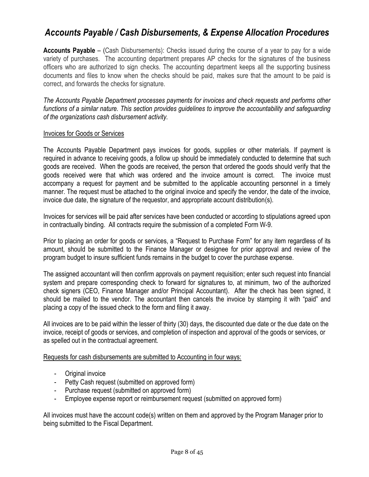# <span id="page-7-0"></span>*Accounts Payable / Cash Disbursements, & Expense Allocation Procedures*

**Accounts Payable** – (Cash Disbursements): Checks issued during the course of a year to pay for a wide variety of purchases. The accounting department prepares AP checks for the signatures of the business officers who are authorized to sign checks. The accounting department keeps all the supporting business documents and files to know when the checks should be paid, makes sure that the amount to be paid is correct, and forwards the checks for signature.

*The Accounts Payable Department processes payments for invoices and check requests and performs other functions of a similar nature. This section provides guidelines to improve the accountability and safeguarding of the organizations cash disbursement activity.* 

#### Invoices for Goods or Services

The Accounts Payable Department pays invoices for goods, supplies or other materials. If payment is required in advance to receiving goods, a follow up should be immediately conducted to determine that such goods are received. When the goods are received, the person that ordered the goods should verify that the goods received were that which was ordered and the invoice amount is correct. The invoice must accompany a request for payment and be submitted to the applicable accounting personnel in a timely manner. The request must be attached to the original invoice and specify the vendor, the date of the invoice, invoice due date, the signature of the requestor, and appropriate account distribution(s).

Invoices for services will be paid after services have been conducted or according to stipulations agreed upon in contractually binding. All contracts require the submission of a completed Form W-9.

Prior to placing an order for goods or services, a "Request to Purchase Form" for any item regardless of its amount, should be submitted to the Finance Manager or designee for prior approval and review of the program budget to insure sufficient funds remains in the budget to cover the purchase expense.

The assigned accountant will then confirm approvals on payment requisition; enter such request into financial system and prepare corresponding check to forward for signatures to, at minimum, two of the authorized check signers (CEO, Finance Manager and/or Principal Accountant). After the check has been signed, it should be mailed to the vendor. The accountant then cancels the invoice by stamping it with "paid" and placing a copy of the issued check to the form and filing it away.

All invoices are to be paid within the lesser of thirty (30) days, the discounted due date or the due date on the invoice, receipt of goods or services, and completion of inspection and approval of the goods or services, or as spelled out in the contractual agreement.

Requests for cash disbursements are submitted to Accounting in four ways:

- Original invoice
- Petty Cash request (submitted on approved form)
- Purchase request (submitted on approved form)
- Employee expense report or reimbursement request (submitted on approved form)

All invoices must have the account code(s) written on them and approved by the Program Manager prior to being submitted to the Fiscal Department.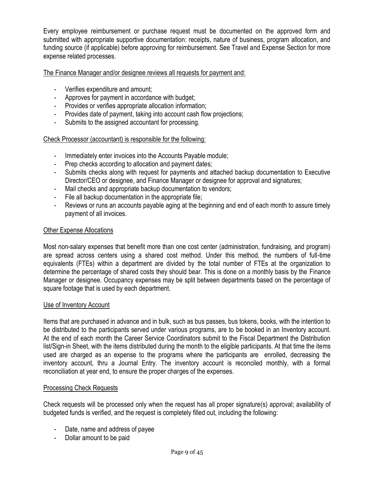Every employee reimbursement or purchase request must be documented on the approved form and submitted with appropriate supportive documentation: receipts, nature of business, program allocation, and funding source (if applicable) before approving for reimbursement. See Travel and Expense Section for more expense related processes.

### The Finance Manager and/or designee reviews all requests for payment and:

- Verifies expenditure and amount;
- Approves for payment in accordance with budget;
- Provides or verifies appropriate allocation information;
- Provides date of payment, taking into account cash flow projections;
- Submits to the assigned accountant for processing.

### Check Processor (accountant) is responsible for the following:

- Immediately enter invoices into the Accounts Payable module;
- Prep checks according to allocation and payment dates;
- Submits checks along with request for payments and attached backup documentation to Executive Director/CEO or designee, and Finance Manager or designee for approval and signatures;
- Mail checks and appropriate backup documentation to vendors;
- File all backup documentation in the appropriate file;
- Reviews or runs an accounts payable aging at the beginning and end of each month to assure timely payment of all invoices.

#### Other Expense Allocations

Most non-salary expenses that benefit more than one cost center (administration, fundraising, and program) are spread across centers using a shared cost method. Under this method, the numbers of full-time equivalents (FTEs) within a department are divided by the total number of FTEs at the organization to determine the percentage of shared costs they should bear. This is done on a monthly basis by the Finance Manager or designee. Occupancy expenses may be split between departments based on the percentage of square footage that is used by each department.

#### Use of Inventory Account

Items that are purchased in advance and in bulk, such as bus passes, bus tokens, books, with the intention to be distributed to the participants served under various programs, are to be booked in an Inventory account. At the end of each month the Career Service Coordinators submit to the Fiscal Department the Distribution list/Sign-in Sheet, with the items distributed during the month to the eligible participants. At that time the items used are charged as an expense to the programs where the participants are enrolled, decreasing the inventory account, thru a Journal Entry. The inventory account is reconciled monthly, with a formal reconciliation at year end, to ensure the proper charges of the expenses.

#### Processing Check Requests

Check requests will be processed only when the request has all proper signature(s) approval; availability of budgeted funds is verified, and the request is completely filled out, including the following:

- Date, name and address of payee
- Dollar amount to be paid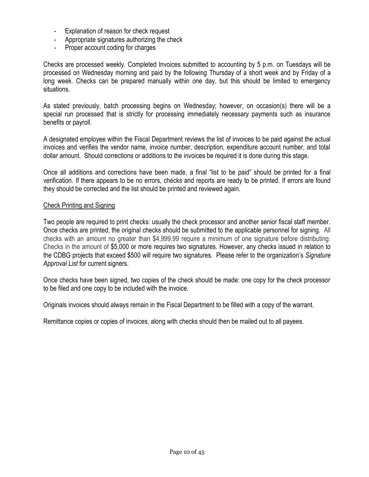- Explanation of reason for check request
- Appropriate signatures authorizing the check
- Proper account coding for charges

Checks are processed weekly. Completed Invoices submitted to accounting by 5 p.m. on Tuesdays will be processed on Wednesday morning and paid by the following Thursday of a short week and by Friday of a long week. Checks can be prepared manually within one day, but this should be limited to emergency situations.

As stated previously, batch processing begins on Wednesday; however, on occasion(s) there will be a special run processed that is strictly for processing immediately necessary payments such as insurance benefits or payroll.

A designated employee within the Fiscal Department reviews the list of invoices to be paid against the actual invoices and verifies the vendor name, invoice number, description, expenditure account number, and total dollar amount. Should corrections or additions to the invoices be required it is done during this stage.

Once all additions and corrections have been made, a final "list to be paid" should be printed for a final verification. If there appears to be no errors, checks and reports are ready to be printed. If errors are found they should be corrected and the list should be printed and reviewed again.

#### Check Printing and Signing

Two people are required to print checks: usually the check processor and another senior fiscal staff member. Once checks are printed, the original checks should be submitted to the applicable personnel for signing. All checks with an amount no greater than \$4,999.99 require a minimum of one signature before distributing. Checks in the amount of \$5,000 or more requires two signatures. However, any checks issued in relation to the CDBG projects that exceed \$500 will require two signatures. Please refer to the organization's *Signature Approval List* for current signers.

Once checks have been signed, two copies of the check should be made: one copy for the check processor to be filed and one copy to be included with the invoice.

Originals invoices should always remain in the Fiscal Department to be filled with a copy of the warrant.

Remittance copies or copies of invoices, along with checks should then be mailed out to all payees.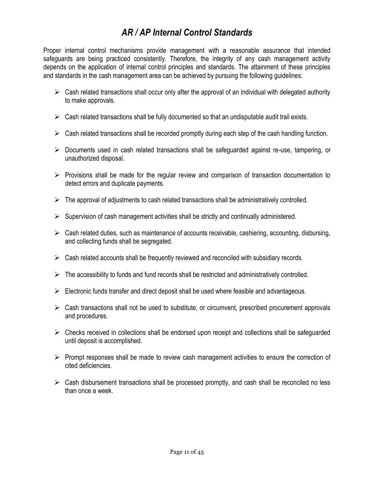# *AR / AP Internal Control Standards*

Proper internal control mechanisms provide management with a reasonable assurance that intended safeguards are being practiced consistently. Therefore, the integrity of any cash management activity depends on the application of internal control principles and standards. The attainment of these principles and standards in the cash management area can be achieved by pursuing the following guidelines:

- $\triangleright$  Cash related transactions shall occur only after the approval of an individual with delegated authority to make approvals.
- $\triangleright$  Cash related transactions shall be fully documented so that an undisputable audit trail exists.
- $\triangleright$  Cash related transactions shall be recorded promptly during each step of the cash handling function.
- $\triangleright$  Documents used in cash related transactions shall be safeguarded against re-use, tampering, or unauthorized disposal.
- $\triangleright$  Provisions shall be made for the regular review and comparison of transaction documentation to detect errors and duplicate payments.
- $\triangleright$  The approval of adjustments to cash related transactions shall be administratively controlled.
- $\triangleright$  Supervision of cash management activities shall be strictly and continually administered.
- $\triangleright$  Cash related duties, such as maintenance of accounts receivable, cashiering, accounting, disbursing, and collecting funds shall be segregated.
- $\triangleright$  Cash related accounts shall be frequently reviewed and reconciled with subsidiary records.
- $\triangleright$  The accessibility to funds and fund records shall be restricted and administratively controlled.
- $\triangleright$  Electronic funds transfer and direct deposit shall be used where feasible and advantageous.
- $\triangleright$  Cash transactions shall not be used to substitute, or circumvent, prescribed procurement approvals and procedures.
- $\triangleright$  Checks received in collections shall be endorsed upon receipt and collections shall be safeguarded until deposit is accomplished.
- $\triangleright$  Prompt responses shall be made to review cash management activities to ensure the correction of cited deficiencies.
- $\triangleright$  Cash disbursement transactions shall be processed promptly, and cash shall be reconciled no less than once a week.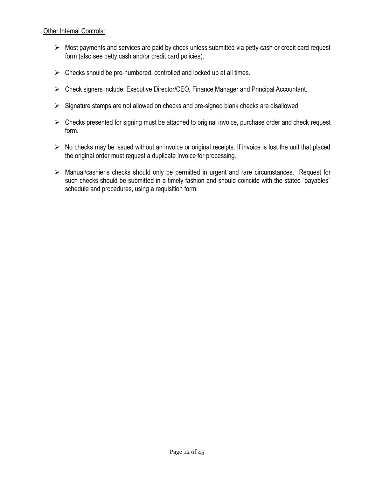#### Other Internal Controls:

- $\triangleright$  Most payments and services are paid by check unless submitted via petty cash or credit card request form (also see petty cash and/or credit card policies).
- $\triangleright$  Checks should be pre-numbered, controlled and locked up at all times.
- Check signers include: Executive Director/CEO, Finance Manager and Principal Accountant.
- $\triangleright$  Signature stamps are not allowed on checks and pre-signed blank checks are disallowed.
- $\triangleright$  Checks presented for signing must be attached to original invoice, purchase order and check request form.
- $\triangleright$  No checks may be issued without an invoice or original receipts. If invoice is lost the unit that placed the original order must request a duplicate invoice for processing.
- <span id="page-11-0"></span> $\triangleright$  Manual/cashier's checks should only be permitted in urgent and rare circumstances. Request for such checks should be submitted in a timely fashion and should coincide with the stated "payables" schedule and procedures, using a requisition form.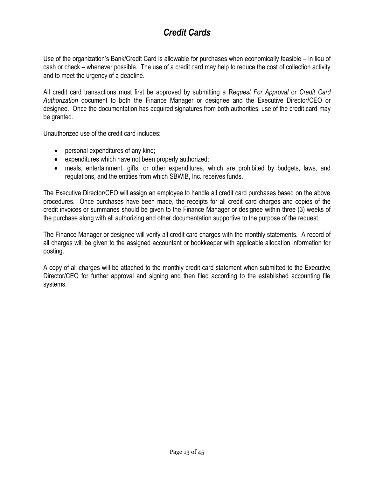# *Credit Cards*

Use of the organization's Bank/Credit Card is allowable for purchases when economically feasible – in lieu of cash or check – whenever possible. The use of a credit card may help to reduce the cost of collection activity and to meet the urgency of a deadline.

All credit card transactions must first be approved by submitting a R*equest For Approval* or *Credit Card Authorization* document to both the Finance Manager or designee and the Executive Director/CEO or designee. Once the documentation has acquired signatures from both authorities, use of the credit card may be granted.

Unauthorized use of the credit card includes:

- personal expenditures of any kind;
- expenditures which have not been properly authorized;
- meals, entertainment, gifts, or other expenditures, which are prohibited by budgets, laws, and regulations, and the entities from which SBWIB, Inc. receives funds.

The Executive Director/CEO will assign an employee to handle all credit card purchases based on the above procedures. Once purchases have been made, the receipts for all credit card charges and copies of the credit invoices or summaries should be given to the Finance Manager or designee within three (3) weeks of the purchase along with all authorizing and other documentation supportive to the purpose of the request.

The Finance Manager or designee will verify all credit card charges with the monthly statements. A record of all charges will be given to the assigned accountant or bookkeeper with applicable allocation information for posting.

<span id="page-12-0"></span>A copy of all charges will be attached to the monthly credit card statement when submitted to the Executive Director/CEO for further approval and signing and then filed according to the established accounting file systems.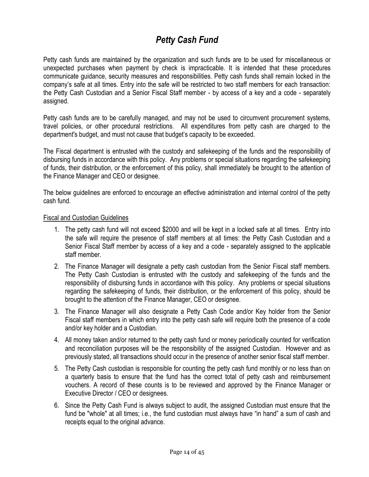# *Petty Cash Fund*

Petty cash funds are maintained by the organization and such funds are to be used for miscellaneous or unexpected purchases when payment by check is impracticable. It is intended that these procedures communicate guidance, security measures and responsibilities. Petty cash funds shall remain locked in the company's safe at all times. Entry into the safe will be restricted to two staff members for each transaction: the Petty Cash Custodian and a Senior Fiscal Staff member - by access of a key and a code - separately assigned.

Petty cash funds are to be carefully managed, and may not be used to circumvent procurement systems, travel policies, or other procedural restrictions. All expenditures from petty cash are charged to the department's budget, and must not cause that budget's capacity to be exceeded.

The Fiscal department is entrusted with the custody and safekeeping of the funds and the responsibility of disbursing funds in accordance with this policy. Any problems or special situations regarding the safekeeping of funds, their distribution, or the enforcement of this policy, shall immediately be brought to the attention of the Finance Manager and CEO or designee.

The below guidelines are enforced to encourage an effective administration and internal control of the petty cash fund.

#### Fiscal and Custodian Guidelines

- 1. The petty cash fund will not exceed \$2000 and will be kept in a locked safe at all times. Entry into the safe will require the presence of staff members at all times: the Petty Cash Custodian and a Senior Fiscal Staff member by access of a key and a code - separately assigned to the applicable staff member.
- 2. The Finance Manager will designate a petty cash custodian from the Senior Fiscal staff members. The Petty Cash Custodian is entrusted with the custody and safekeeping of the funds and the responsibility of disbursing funds in accordance with this policy. Any problems or special situations regarding the safekeeping of funds, their distribution, or the enforcement of this policy, should be brought to the attention of the Finance Manager, CEO or designee.
- 3. The Finance Manager will also designate a Petty Cash Code and/or Key holder from the Senior Fiscal staff members in which entry into the petty cash safe will require both the presence of a code and/or key holder and a Custodian.
- 4. All money taken and/or returned to the petty cash fund or money periodically counted for verification and reconciliation purposes will be the responsibility of the assigned Custodian. However and as previously stated, all transactions should occur in the presence of another senior fiscal staff member.
- 5. The Petty Cash custodian is responsible for counting the petty cash fund monthly or no less than on a quarterly basis to ensure that the fund has the correct total of petty cash and reimbursement vouchers. A record of these counts is to be reviewed and approved by the Finance Manager or Executive Director / CEO or designees.
- 6. Since the Petty Cash Fund is always subject to audit, the assigned Custodian must ensure that the fund be "whole" at all times; i.e., the fund custodian must always have "in hand" a sum of cash and receipts equal to the original advance.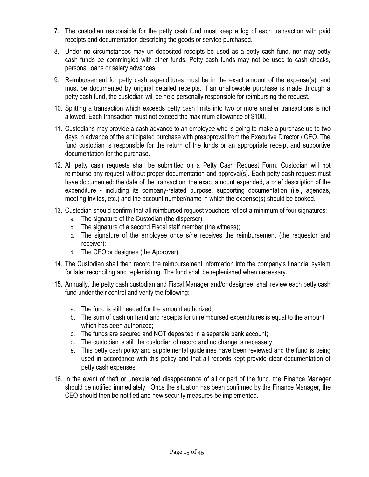- 7. The custodian responsible for the petty cash fund must keep a log of each transaction with paid receipts and documentation describing the goods or service purchased.
- 8. Under no circumstances may un-deposited receipts be used as a petty cash fund, nor may petty cash funds be commingled with other funds. Petty cash funds may not be used to cash checks, personal loans or salary advances.
- 9. Reimbursement for petty cash expenditures must be in the exact amount of the expense(s), and must be documented by original detailed receipts. If an unallowable purchase is made through a petty cash fund, the custodian will be held personally responsible for reimbursing the request.
- 10. Splitting a transaction which exceeds petty cash limits into two or more smaller transactions is not allowed. Each transaction must not exceed the maximum allowance of \$100.
- 11. Custodians may provide a cash advance to an employee who is going to make a purchase up to two days in advance of the anticipated purchase with preapproval from the Executive Director / CEO. The fund custodian is responsible for the return of the funds or an appropriate receipt and supportive documentation for the purchase.
- 12. All petty cash requests shall be submitted on a Petty Cash Request Form. Custodian will not reimburse any request without proper documentation and approval(s). Each petty cash request must have documented: the date of the transaction, the exact amount expended, a brief description of the expenditure - including its company-related purpose, supporting documentation (i.e., agendas, meeting invites, etc.) and the account number/name in which the expense(s) should be booked.
- 13. Custodian should confirm that all reimbursed request vouchers reflect a minimum of four signatures:
	- a. The signature of the Custodian (the disperser);
	- b. The signature of a second Fiscal staff member (the witness);
	- c. The signature of the employee once s/he receives the reimbursement (the requestor and receiver);
	- d. The CEO or designee (the Approver).
- 14. The Custodian shall then record the reimbursement information into the company's financial system for later reconciling and replenishing. The fund shall be replenished when necessary.
- 15. Annually, the petty cash custodian and Fiscal Manager and/or designee, shall review each petty cash fund under their control and verify the following:
	- a. The fund is still needed for the amount authorized;
	- b. The sum of cash on hand and receipts for unreimbursed expenditures is equal to the amount which has been authorized;
	- c. The funds are secured and NOT deposited in a separate bank account;
	- d. The custodian is still the custodian of record and no change is necessary;
	- e. This petty cash policy and supplemental guidelines have been reviewed and the fund is being used in accordance with this policy and that all records kept provide clear documentation of petty cash expenses.
- 16. In the event of theft or unexplained disappearance of all or part of the fund, the Finance Manager should be notified immediately. Once the situation has been confirmed by the Finance Manager, the CEO should then be notified and new security measures be implemented.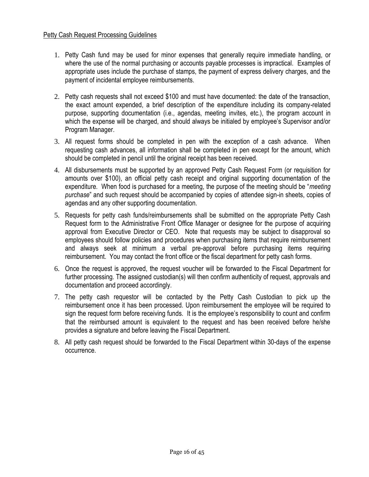#### Petty Cash Request Processing Guidelines

- 1. Petty Cash fund may be used for minor expenses that generally require immediate handling, or where the use of the normal purchasing or accounts payable processes is impractical. Examples of appropriate uses include the purchase of stamps, the payment of express delivery charges, and the payment of incidental employee reimbursements.
- 2. Petty cash requests shall not exceed \$100 and must have documented: the date of the transaction, the exact amount expended, a brief description of the expenditure including its company-related purpose, supporting documentation (i.e., agendas, meeting invites, etc.), the program account in which the expense will be charged, and should always be initialed by employee's Supervisor and/or Program Manager.
- 3. All request forms should be completed in pen with the exception of a cash advance. When requesting cash advances, all information shall be completed in pen except for the amount, which should be completed in pencil until the original receipt has been received.
- 4. All disbursements must be supported by an approved Petty Cash Request Form (or requisition for amounts over \$100), an official petty cash receipt and original supporting documentation of the expenditure. When food is purchased for a meeting, the purpose of the meeting should be "*meeting purchase*" and such request should be accompanied by copies of attendee sign-in sheets, copies of agendas and any other supporting documentation.
- 5. Requests for petty cash funds/reimbursements shall be submitted on the appropriate Petty Cash Request form to the Administrative Front Office Manager or designee for the purpose of acquiring approval from Executive Director or CEO. Note that requests may be subject to disapproval so employees should follow policies and procedures when purchasing items that require reimbursement and always seek at minimum a verbal pre-approval before purchasing items requiring reimbursement. You may contact the front office or the fiscal department for petty cash forms.
- 6. Once the request is approved, the request voucher will be forwarded to the Fiscal Department for further processing. The assigned custodian(s) will then confirm authenticity of request, approvals and documentation and proceed accordingly.
- 7. The petty cash requestor will be contacted by the Petty Cash Custodian to pick up the reimbursement once it has been processed. Upon reimbursement the employee will be required to sign the request form before receiving funds. It is the employee's responsibility to count and confirm that the reimbursed amount is equivalent to the request and has been received before he/she provides a signature and before leaving the Fiscal Department.
- 8. All petty cash request should be forwarded to the Fiscal Department within 30-days of the expense occurrence.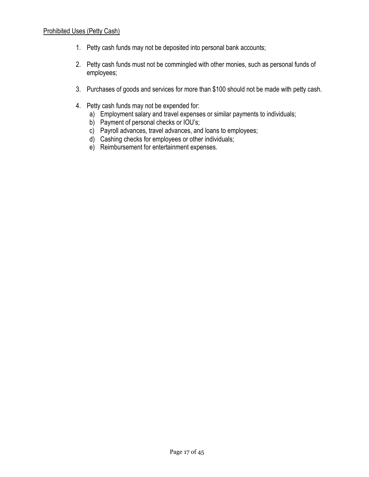# Prohibited Uses (Petty Cash)

- 1. Petty cash funds may not be deposited into personal bank accounts;
- 2. Petty cash funds must not be commingled with other monies, such as personal funds of employees;
- 3. Purchases of goods and services for more than \$100 should not be made with petty cash.
- <span id="page-16-0"></span>4. Petty cash funds may not be expended for:
	- a) Employment salary and travel expenses or similar payments to individuals;
	- b) Payment of personal checks or IOU's;
	- c) Payroll advances, travel advances, and loans to employees;
	- d) Cashing checks for employees or other individuals;
	- e) Reimbursement for entertainment expenses.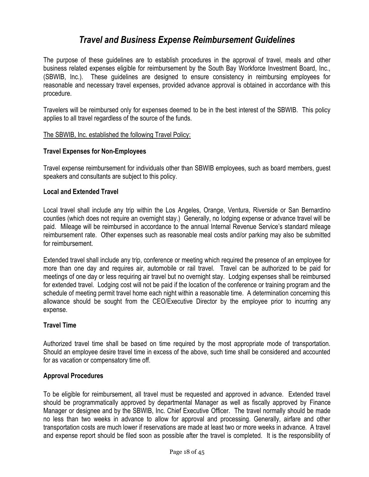# *Travel and Business Expense Reimbursement Guidelines*

The purpose of these guidelines are to establish procedures in the approval of travel, meals and other business related expenses eligible for reimbursement by the South Bay Workforce Investment Board, Inc., (SBWIB, Inc.). These guidelines are designed to ensure consistency in reimbursing employees for reasonable and necessary travel expenses, provided advance approval is obtained in accordance with this procedure.

Travelers will be reimbursed only for expenses deemed to be in the best interest of the SBWIB. This policy applies to all travel regardless of the source of the funds.

#### The SBWIB, Inc. established the following Travel Policy:

#### **Travel Expenses for Non-Employees**

Travel expense reimbursement for individuals other than SBWIB employees, such as board members, guest speakers and consultants are subject to this policy.

#### **Local and Extended Travel**

Local travel shall include any trip within the Los Angeles, Orange, Ventura, Riverside or San Bernardino counties (which does not require an overnight stay.) Generally, no lodging expense or advance travel will be paid. Mileage will be reimbursed in accordance to the annual Internal Revenue Service's standard mileage reimbursement rate. Other expenses such as reasonable meal costs and/or parking may also be submitted for reimbursement.

Extended travel shall include any trip, conference or meeting which required the presence of an employee for more than one day and requires air, automobile or rail travel. Travel can be authorized to be paid for meetings of one day or less requiring air travel but no overnight stay. Lodging expenses shall be reimbursed for extended travel. Lodging cost will not be paid if the location of the conference or training program and the schedule of meeting permit travel home each night within a reasonable time. A determination concerning this allowance should be sought from the CEO/Executive Director by the employee prior to incurring any expense.

### **Travel Time**

Authorized travel time shall be based on time required by the most appropriate mode of transportation. Should an employee desire travel time in excess of the above, such time shall be considered and accounted for as vacation or compensatory time off.

#### **Approval Procedures**

To be eligible for reimbursement, all travel must be requested and approved in advance. Extended travel should be programmatically approved by departmental Manager as well as fiscally approved by Finance Manager or designee and by the SBWIB, Inc. Chief Executive Officer. The travel normally should be made no less than two weeks in advance to allow for approval and processing. Generally, airfare and other transportation costs are much lower if reservations are made at least two or more weeks in advance. A travel and expense report should be filed soon as possible after the travel is completed. It is the responsibility of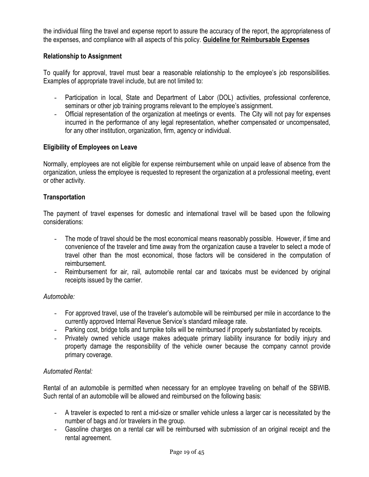the individual filing the travel and expense report to assure the accuracy of the report, the appropriateness of the expenses, and compliance with all aspects of this policy. **Guideline for Reimbursable Expenses**

### **Relationship to Assignment**

To qualify for approval, travel must bear a reasonable relationship to the employee's job responsibilities. Examples of appropriate travel include, but are not limited to:

- Participation in local, State and Department of Labor (DOL) activities, professional conference, seminars or other job training programs relevant to the employee's assignment.
- Official representation of the organization at meetings or events. The City will not pay for expenses incurred in the performance of any legal representation, whether compensated or uncompensated, for any other institution, organization, firm, agency or individual.

### **Eligibility of Employees on Leave**

Normally, employees are not eligible for expense reimbursement while on unpaid leave of absence from the organization, unless the employee is requested to represent the organization at a professional meeting, event or other activity.

#### **Transportation**

The payment of travel expenses for domestic and international travel will be based upon the following considerations:

- The mode of travel should be the most economical means reasonably possible. However, if time and convenience of the traveler and time away from the organization cause a traveler to select a mode of travel other than the most economical, those factors will be considered in the computation of reimbursement.
- Reimbursement for air, rail, automobile rental car and taxicabs must be evidenced by original receipts issued by the carrier.

#### *Automobile:*

- For approved travel, use of the traveler's automobile will be reimbursed per mile in accordance to the currently approved Internal Revenue Service's standard mileage rate.
- Parking cost, bridge tolls and turnpike tolls will be reimbursed if properly substantiated by receipts.
- Privately owned vehicle usage makes adequate primary liability insurance for bodily injury and property damage the responsibility of the vehicle owner because the company cannot provide primary coverage.

#### *Automated Rental:*

Rental of an automobile is permitted when necessary for an employee traveling on behalf of the SBWIB. Such rental of an automobile will be allowed and reimbursed on the following basis:

- A traveler is expected to rent a mid-size or smaller vehicle unless a larger car is necessitated by the number of bags and /or travelers in the group.
- Gasoline charges on a rental car will be reimbursed with submission of an original receipt and the rental agreement.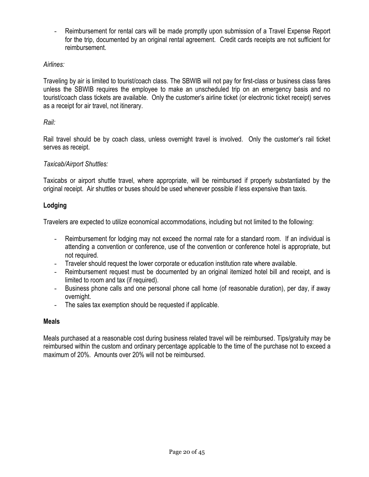- Reimbursement for rental cars will be made promptly upon submission of a Travel Expense Report for the trip, documented by an original rental agreement. Credit cards receipts are not sufficient for reimbursement.

# *Airlines:*

Traveling by air is limited to tourist/coach class. The SBWIB will not pay for first-class or business class fares unless the SBWIB requires the employee to make an unscheduled trip on an emergency basis and no tourist/coach class tickets are available. Only the customer's airline ticket (or electronic ticket receipt) serves as a receipt for air travel, not itinerary.

### *Rail:*

Rail travel should be by coach class, unless overnight travel is involved. Only the customer's rail ticket serves as receipt.

## *Taxicab/Airport Shuttles:*

Taxicabs or airport shuttle travel, where appropriate, will be reimbursed if properly substantiated by the original receipt. Air shuttles or buses should be used whenever possible if less expensive than taxis.

## **Lodging**

Travelers are expected to utilize economical accommodations, including but not limited to the following:

- Reimbursement for lodging may not exceed the normal rate for a standard room. If an individual is attending a convention or conference, use of the convention or conference hotel is appropriate, but not required.
- Traveler should request the lower corporate or education institution rate where available.
- Reimbursement request must be documented by an original itemized hotel bill and receipt, and is limited to room and tax (if required).
- Business phone calls and one personal phone call home (of reasonable duration), per day, if away overnight.
- The sales tax exemption should be requested if applicable.

# **Meals**

Meals purchased at a reasonable cost during business related travel will be reimbursed. Tips/gratuity may be reimbursed within the custom and ordinary percentage applicable to the time of the purchase not to exceed a maximum of 20%. Amounts over 20% will not be reimbursed.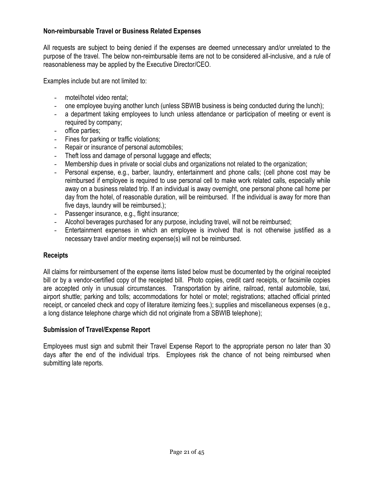### **Non-reimbursable Travel or Business Related Expenses**

All requests are subject to being denied if the expenses are deemed unnecessary and/or unrelated to the purpose of the travel. The below non-reimbursable items are not to be considered all-inclusive, and a rule of reasonableness may be applied by the Executive Director/CEO.

Examples include but are not limited to:

- motel/hotel video rental;
- one employee buying another lunch (unless SBWIB business is being conducted during the lunch);
- a department taking employees to lunch unless attendance or participation of meeting or event is required by company;
- office parties;
- Fines for parking or traffic violations;
- Repair or insurance of personal automobiles;
- Theft loss and damage of personal luggage and effects;
- Membership dues in private or social clubs and organizations not related to the organization;
- Personal expense, e.g., barber, laundry, entertainment and phone calls; (cell phone cost may be reimbursed if employee is required to use personal cell to make work related calls, especially while away on a business related trip. If an individual is away overnight, one personal phone call home per day from the hotel, of reasonable duration, will be reimbursed. If the individual is away for more than five days, laundry will be reimbursed.);
- Passenger insurance, e.g., flight insurance;
- Alcohol beverages purchased for any purpose, including travel, will not be reimbursed;
- Entertainment expenses in which an employee is involved that is not otherwise justified as a necessary travel and/or meeting expense(s) will not be reimbursed.

#### **Receipts**

All claims for reimbursement of the expense items listed below must be documented by the original receipted bill or by a vendor-certified copy of the receipted bill. Photo copies, credit card receipts, or facsimile copies are accepted only in unusual circumstances. Transportation by airline, railroad, rental automobile, taxi, airport shuttle; parking and tolls; accommodations for hotel or motel; registrations; attached official printed receipt, or canceled check and copy of literature itemizing fees.); supplies and miscellaneous expenses (e.g., a long distance telephone charge which did not originate from a SBWIB telephone);

#### **Submission of Travel/Expense Report**

Employees must sign and submit their Travel Expense Report to the appropriate person no later than 30 days after the end of the individual trips. Employees risk the chance of not being reimbursed when submitting late reports.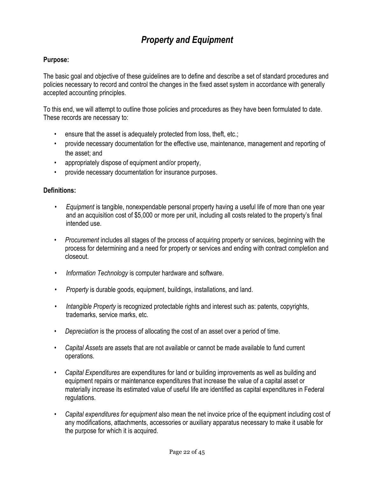# *Property and Equipment*

### **Purpose:**

The basic goal and objective of these guidelines are to define and describe a set of standard procedures and policies necessary to record and control the changes in the fixed asset system in accordance with generally accepted accounting principles.

To this end, we will attempt to outline those policies and procedures as they have been formulated to date. These records are necessary to:

- ensure that the asset is adequately protected from loss, theft, etc.;
- provide necessary documentation for the effective use, maintenance, management and reporting of the asset; and
- appropriately dispose of equipment and/or property,
- provide necessary documentation for insurance purposes.

#### **Definitions:**

- *Equipment* is tangible, nonexpendable personal property having a useful life of more than one year and an acquisition cost of \$5,000 or more per unit, including all costs related to the property's final intended use.
- *Procurement* includes all stages of the process of acquiring property or services, beginning with the process for determining and a need for property or services and ending with contract completion and closeout.
- *Information Technology* is computer hardware and software.
- *Property* is durable goods, equipment, buildings, installations, and land.
- *Intangible Property* is recognized protectable rights and interest such as: patents, copyrights, trademarks, service marks, etc.
- *Depreciation* is the process of allocating the cost of an asset over a period of time.
- *Capital Assets* are assets that are not available or cannot be made available to fund current operations.
- *Capital Expenditures* are expenditures for land or building improvements as well as building and equipment repairs or maintenance expenditures that increase the value of a capital asset or materially increase its estimated value of useful life are identified as capital expenditures in Federal regulations.
- *Capital expenditures for equipment* also mean the net invoice price of the equipment including cost of any modifications, attachments, accessories or auxiliary apparatus necessary to make it usable for the purpose for which it is acquired.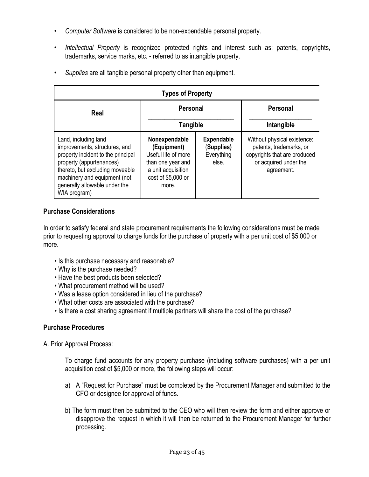- *Computer Software* is considered to be non-expendable personal property.
- *Intellectual Property* is recognized protected rights and interest such as: patents, copyrights, trademarks, service marks, etc. - referred to as intangible property.
- *Supplies* are all tangible personal property other than equipment.

| <b>Types of Property</b>                                                                                                                                                                                                                    |                                                                                                                               |                                                        |                                                                                                                               |  |
|---------------------------------------------------------------------------------------------------------------------------------------------------------------------------------------------------------------------------------------------|-------------------------------------------------------------------------------------------------------------------------------|--------------------------------------------------------|-------------------------------------------------------------------------------------------------------------------------------|--|
| Real                                                                                                                                                                                                                                        | <b>Personal</b><br>Tangible                                                                                                   |                                                        | Personal<br>Intangible                                                                                                        |  |
| Land, including land<br>improvements, structures, and<br>property incident to the principal<br>property (appurtenances)<br>thereto, but excluding moveable<br>machinery and equipment (not<br>generally allowable under the<br>WIA program) | Nonexpendable<br>(Equipment)<br>Useful life of more<br>than one year and<br>a unit acquisition<br>cost of \$5,000 or<br>more. | <b>Expendable</b><br>(Supplies)<br>Everything<br>else. | Without physical existence:<br>patents, trademarks, or<br>copyrights that are produced<br>or acquired under the<br>agreement. |  |

## **Purchase Considerations**

In order to satisfy federal and state procurement requirements the following considerations must be made prior to requesting approval to charge funds for the purchase of property with a per unit cost of \$5,000 or more.

- Is this purchase necessary and reasonable?
- Why is the purchase needed?
- Have the best products been selected?
- What procurement method will be used?
- Was a lease option considered in lieu of the purchase?
- What other costs are associated with the purchase?
- Is there a cost sharing agreement if multiple partners will share the cost of the purchase?

# **Purchase Procedures**

A. Prior Approval Process:

To charge fund accounts for any property purchase (including software purchases) with a per unit acquisition cost of \$5,000 or more, the following steps will occur:

- a) A "Request for Purchase" must be completed by the Procurement Manager and submitted to the CFO or designee for approval of funds.
- b) The form must then be submitted to the CEO who will then review the form and either approve or disapprove the request in which it will then be returned to the Procurement Manager for further processing.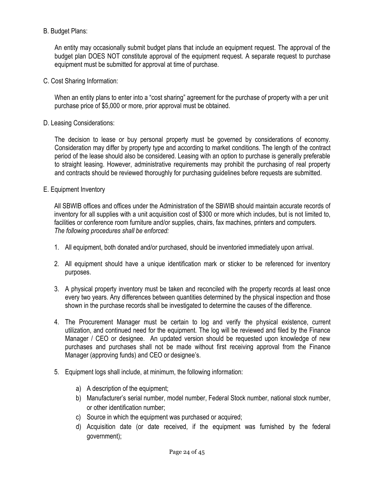### B. Budget Plans:

An entity may occasionally submit budget plans that include an equipment request. The approval of the budget plan DOES NOT constitute approval of the equipment request. A separate request to purchase equipment must be submitted for approval at time of purchase.

C. Cost Sharing Information:

When an entity plans to enter into a "cost sharing" agreement for the purchase of property with a per unit purchase price of \$5,000 or more, prior approval must be obtained.

## D. Leasing Considerations:

The decision to lease or buy personal property must be governed by considerations of economy. Consideration may differ by property type and according to market conditions. The length of the contract period of the lease should also be considered. Leasing with an option to purchase is generally preferable to straight leasing. However, administrative requirements may prohibit the purchasing of real property and contracts should be reviewed thoroughly for purchasing guidelines before requests are submitted.

## E. Equipment Inventory

All SBWIB offices and offices under the Administration of the SBWIB should maintain accurate records of inventory for all supplies with a unit acquisition cost of \$300 or more which includes, but is not limited to, facilities or conference room furniture and/or supplies, chairs, fax machines, printers and computers. *The following procedures shall be enforced:* 

- 1. All equipment, both donated and/or purchased, should be inventoried immediately upon arrival.
- 2. All equipment should have a unique identification mark or sticker to be referenced for inventory purposes.
- 3. A physical property inventory must be taken and reconciled with the property records at least once every two years. Any differences between quantities determined by the physical inspection and those shown in the purchase records shall be investigated to determine the causes of the difference.
- 4. The Procurement Manager must be certain to log and verify the physical existence, current utilization, and continued need for the equipment. The log will be reviewed and filed by the Finance Manager / CEO or designee. An updated version should be requested upon knowledge of new purchases and purchases shall not be made without first receiving approval from the Finance Manager (approving funds) and CEO or designee's.
- 5. Equipment logs shall include, at minimum, the following information:
	- a) A description of the equipment;
	- b) Manufacturer's serial number, model number, Federal Stock number, national stock number, or other identification number;
	- c) Source in which the equipment was purchased or acquired;
	- d) Acquisition date (or date received, if the equipment was furnished by the federal government);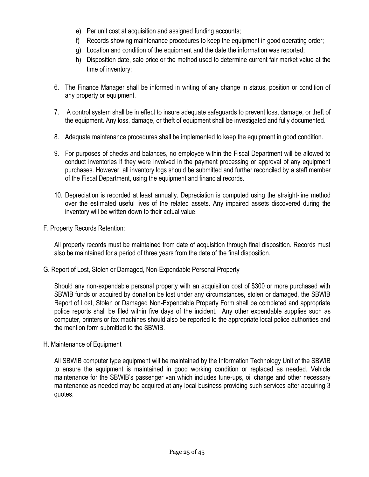- e) Per unit cost at acquisition and assigned funding accounts;
- f) Records showing maintenance procedures to keep the equipment in good operating order;
- g) Location and condition of the equipment and the date the information was reported;
- h) Disposition date, sale price or the method used to determine current fair market value at the time of inventory;
- 6. The Finance Manager shall be informed in writing of any change in status, position or condition of any property or equipment.
- 7. A control system shall be in effect to insure adequate safeguards to prevent loss, damage, or theft of the equipment. Any loss, damage, or theft of equipment shall be investigated and fully documented.
- 8. Adequate maintenance procedures shall be implemented to keep the equipment in good condition.
- 9. For purposes of checks and balances, no employee within the Fiscal Department will be allowed to conduct inventories if they were involved in the payment processing or approval of any equipment purchases. However, all inventory logs should be submitted and further reconciled by a staff member of the Fiscal Department, using the equipment and financial records.
- 10. Depreciation is recorded at least annually. Depreciation is computed using the straight-line method over the estimated useful lives of the related assets. Any impaired assets discovered during the inventory will be written down to their actual value.
- F. Property Records Retention:

All property records must be maintained from date of acquisition through final disposition. Records must also be maintained for a period of three years from the date of the final disposition.

G. Report of Lost, Stolen or Damaged, Non-Expendable Personal Property

Should any non-expendable personal property with an acquisition cost of \$300 or more purchased with SBWIB funds or acquired by donation be lost under any circumstances, stolen or damaged, the SBWIB Report of Lost, Stolen or Damaged Non-Expendable Property Form shall be completed and appropriate police reports shall be filed within five days of the incident. Any other expendable supplies such as computer, printers or fax machines should also be reported to the appropriate local police authorities and the mention form submitted to the SBWIB.

H. Maintenance of Equipment

All SBWIB computer type equipment will be maintained by the Information Technology Unit of the SBWIB to ensure the equipment is maintained in good working condition or replaced as needed. Vehicle maintenance for the SBWIB's passenger van which includes tune-ups, oil change and other necessary maintenance as needed may be acquired at any local business providing such services after acquiring 3 quotes.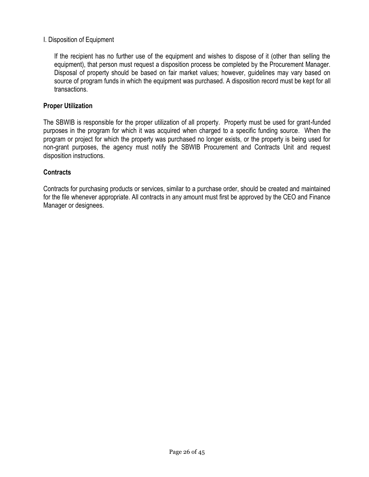### I. Disposition of Equipment

If the recipient has no further use of the equipment and wishes to dispose of it (other than selling the equipment), that person must request a disposition process be completed by the Procurement Manager. Disposal of property should be based on fair market values; however, guidelines may vary based on source of program funds in which the equipment was purchased. A disposition record must be kept for all transactions.

#### **Proper Utilization**

The SBWIB is responsible for the proper utilization of all property. Property must be used for grant-funded purposes in the program for which it was acquired when charged to a specific funding source. When the program or project for which the property was purchased no longer exists, or the property is being used for non-grant purposes, the agency must notify the SBWIB Procurement and Contracts Unit and request disposition instructions.

#### **Contracts**

Contracts for purchasing products or services, similar to a purchase order, should be created and maintained for the file whenever appropriate. All contracts in any amount must first be approved by the CEO and Finance Manager or designees.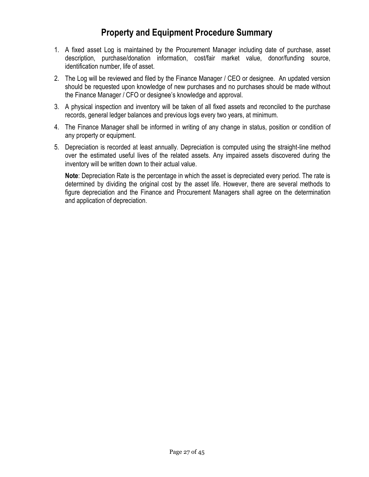# **Property and Equipment Procedure Summary**

- 1. A fixed asset Log is maintained by the Procurement Manager including date of purchase, asset description, purchase/donation information, cost/fair market value, donor/funding source, identification number, life of asset.
- 2. The Log will be reviewed and filed by the Finance Manager / CEO or designee. An updated version should be requested upon knowledge of new purchases and no purchases should be made without the Finance Manager / CFO or designee's knowledge and approval.
- 3. A physical inspection and inventory will be taken of all fixed assets and reconciled to the purchase records, general ledger balances and previous logs every two years, at minimum.
- 4. The Finance Manager shall be informed in writing of any change in status, position or condition of any property or equipment.
- 5. Depreciation is recorded at least annually. Depreciation is computed using the straight-line method over the estimated useful lives of the related assets. Any impaired assets discovered during the inventory will be written down to their actual value.

**Note**: Depreciation Rate is the percentage in which the asset is depreciated every period. The rate is determined by dividing the original cost by the asset life. However, there are several methods to figure depreciation and the Finance and Procurement Managers shall agree on the determination and application of depreciation.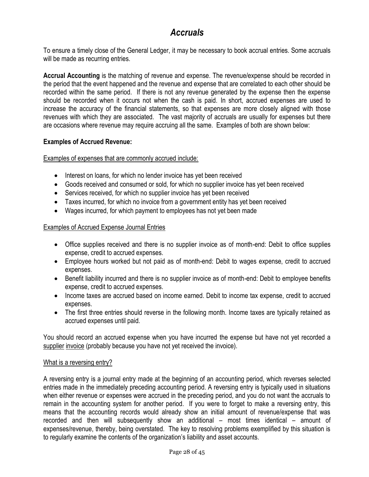# *Accruals*

To ensure a timely close of the General Ledger, it may be necessary to book accrual entries. Some accruals will be made as recurring entries.

**Accrual Accounting** is the matching of revenue and expense. The revenue/expense should be recorded in the period that the event happened and the revenue and expense that are correlated to each other should be recorded within the same period. If there is not any revenue generated by the expense then the expense should be recorded when it occurs not when the cash is paid. In short, accrued expenses are used to increase the accuracy of the financial statements, so that expenses are more closely aligned with those revenues with which they are associated. The vast majority of [accruals](http://www.accountingtools.com/accrual-definition) are usually for [expenses](http://www.accountingtools.com/definition-expense) but there are occasions where revenue may require accruing all the same. Examples of both are shown below:

### **Examples of Accrued Revenue:**

Examples of expenses that are commonly accrued include:

- Interest on loans, for which no lender invoice has yet been received
- Goods received and consumed or sold, for which no supplier invoice has yet been received
- Services received, for which no supplier invoice has yet been received
- Taxes incurred, for which no invoice from a government entity has yet been received
- Wages incurred, for which payment to employees has not yet been made

### Examples of Accrued Expense Journal Entries

- Office supplies received and there is no supplier invoice as of month-end: Debit to office supplies expense, credit to accrued expenses.
- Employee hours worked but not paid as of month-end: Debit to wages expense, credit to accrued expenses.
- Benefit liability incurred and there is no supplier invoice as of month-end: Debit to employee benefits expense, credit to accrued expenses.
- Income taxes are accrued based on income earned. Debit to income tax expense, credit to accrued expenses.
- The first three entries should reverse in the following month. Income taxes are typically retained as accrued expenses until paid.

You should record an accrued expense when you have incurred the expense but have not yet recorded a [supplier](http://www.accountingtools.com/supplier-definition) [invoice](http://www.accountingtools.com/definition-invoice) (probably because you have not yet received the invoice).

### [What is a reversing](http://www.accountingtools.com/questions-and-answers/what-is-a-reversing-entry.html) entry?

<span id="page-27-0"></span>A reversing entry is a [journal entry](http://www.accountingtools.com/journal-entries) made at the beginning of an accounting period, which reverses selected entries made in the immediately preceding accounting period. A reversing entry is typically used in situations when either revenue or expenses were accrued in the preceding period, and you do not want the accruals to remain in the accounting system for another period. If you were to forget to make a reversing entry, this means that the accounting records would already show an initial amount of revenue/expense that was recorded and then will subsequently show an additional – most times identical – amount of expenses/revenue, thereby, being overstated. The key to resolving problems exemplified by this situation is to regularly examine the contents of the organization's liability and asset accounts.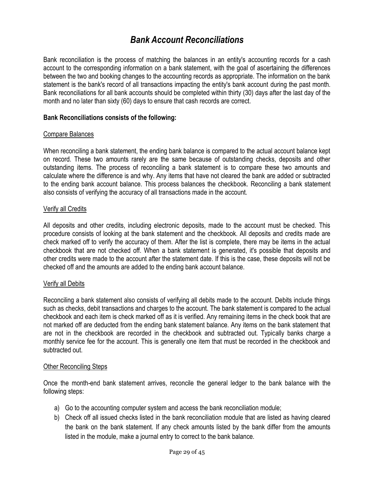# *Bank Account Reconciliations*

Bank reconciliation is the process of matching the balances in an entity's accounting records for a cash account to the corresponding information on a [bank statement,](http://www.accountingtools.com/questions-and-answers/what-is-a-bank-statement.html) with the goal of ascertaining the differences between the two and booking changes to the accounting records as appropriate. The information on the bank statement is the bank's record of all transactions impacting the entity's bank account during the past month. Bank reconciliations for all bank accounts should be completed within thirty (30) days after the last day of the month and no later than sixty (60) days to ensure that cash records are correct.

#### **Bank Reconciliations consists of the following:**

#### Compare Balances

When reconciling a bank statement, the ending bank balance is compared to the actual account balance kept on record. These two amounts rarely are the same because of outstanding checks, deposits and other outstanding items. The process of reconciling a bank statement is to compare these two amounts and calculate where the difference is and why. Any items that have not cleared the bank are added or subtracted to the ending bank account balance. This process balances the checkbook. Reconciling a bank statement also consists of verifying the accuracy of all transactions made in the account.

#### Verify all Credits

All deposits and other credits, including electronic deposits, made to the account must be checked. This procedure consists of looking at the bank statement and the checkbook. All deposits and credits made are check marked off to verify the accuracy of them. After the list is complete, there may be items in the actual checkbook that are not checked off. When a bank statement is generated, it's possible that deposits and other credits were made to the account after the statement date. If this is the case, these deposits will not be checked off and the amounts are added to the ending bank account balance.

#### Verify all Debits

Reconciling a bank statement also consists of verifying all debits made to the account. Debits include things such as checks, debit transactions and charges to the account. The bank statement is compared to the actual checkbook and each item is check marked off as it is verified. Any remaining items in the check book that are not marked off are deducted from the ending bank statement balance. Any items on the bank statement that are not in the checkbook are recorded in the checkbook and subtracted out. Typically banks charge a monthly service fee for the account. This is generally one item that must be recorded in the checkbook and subtracted out.

#### **Other Reconciling Steps**

Once the month-end bank statement arrives, reconcile the general ledger to the bank balance with the following steps:

- a) Go to the accounting computer system and access the bank reconciliation module;
- b) Check off all issued checks listed in the bank reconciliation module that are listed as having cleared the bank on the bank statement. If any check amounts listed by the bank differ from the amounts listed in the module, make a journal entry to correct to the bank balance.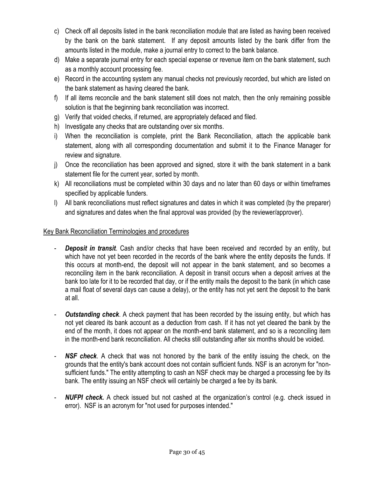- c) Check off all deposits listed in the bank reconciliation module that are listed as having been received by the bank on the bank statement. If any deposit amounts listed by the bank differ from the amounts listed in the module, make a journal entry to correct to the bank balance.
- d) Make a separate journal entry for each special expense or revenue item on the bank statement, such as a monthly account processing fee.
- e) Record in the accounting system any manual checks not previously recorded, but which are listed on the bank statement as having cleared the bank.
- f) If all items reconcile and the bank statement still does not match, then the only remaining possible solution is that the beginning bank reconciliation was incorrect.
- g) Verify that voided checks, if returned, are appropriately defaced and filed.
- h) Investigate any checks that are outstanding over six months.
- i) When the reconciliation is complete, print the Bank Reconciliation, attach the applicable bank statement, along with all corresponding documentation and submit it to the Finance Manager for review and signature.
- j) Once the reconciliation has been approved and signed, store it with the bank statement in a bank statement file for the current year, sorted by month.
- k) All reconciliations must be completed within 30 days and no later than 60 days or within timeframes specified by applicable funders.
- l) All bank reconciliations must reflect signatures and dates in which it was completed (by the preparer) and signatures and dates when the final approval was provided (by the reviewer/approver).

## Key Bank Reconciliation Terminologies and procedures

- **Deposit in transit**. Cash and/or checks that have been received and recorded by an entity, but which have not yet been recorded in the records of the bank where the entity deposits the funds. If this occurs at month-end, the deposit will not appear in the bank statement, and so becomes a reconciling item in the bank reconciliation. A deposit in transit occurs when a deposit arrives at the bank too late for it to be recorded that day, or if the entity mails the deposit to the bank (in which case a [mail float](http://www.accountingtools.com/dictionary-mail-float) of several days can cause a delay), or the entity has not yet sent the deposit to the bank at all.
- **Outstanding check**. A check payment that has been recorded by the issuing entity, but which has not yet cleared its bank account as a deduction from cash. If it has not yet cleared the bank by the end of the month, it does not appear on the month-end bank statement, and so is a reconciling item in the month-end bank reconciliation. All checks still outstanding after six months should be voided.
- **NSF check**. A check that was not honored by the bank of the entity issuing the check, on the grounds that the entity's bank account does not contain sufficient funds. NSF is an acronym for "nonsufficient funds." The entity attempting to cash an NSF check may be charged a processing fee by its bank. The entity issuing an NSF check will certainly be charged a fee by its bank.
- **NUFPI check.** A check issued but not cashed at the organization's control (e.g. check issued in error). NSF is an acronym for "not used for purposes intended."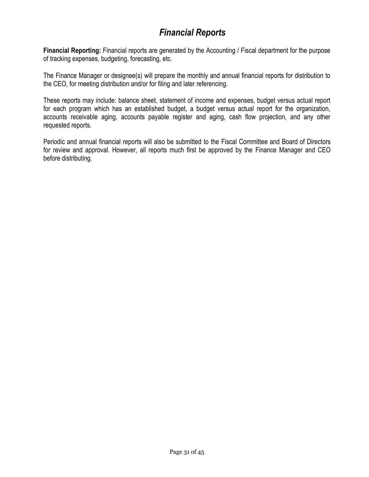# *Financial Reports*

**Financial Reporting:** Financial reports are generated by the Accounting / Fiscal department for the purpose of tracking expenses, budgeting, forecasting, etc.

The Finance Manager or designee(s) will prepare the monthly and annual financial reports for distribution to the CEO, for meeting distribution and/or for filing and later referencing.

These reports may include: balance sheet, statement of income and expenses, budget versus actual report for each program which has an established budget, a budget versus actual report for the organization, accounts receivable aging, accounts payable register and aging, cash flow projection, and any other requested reports.

Periodic and annual financial reports will also be submitted to the Fiscal Committee and Board of Directors for review and approval. However, all reports much first be approved by the Finance Manager and CEO before distributing.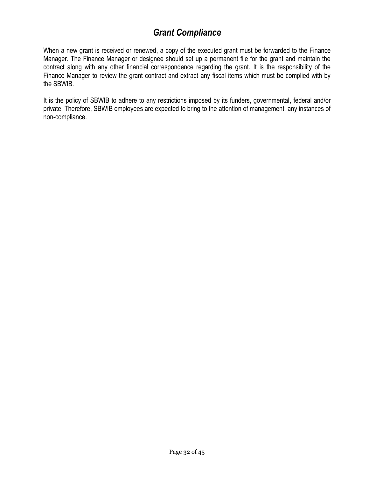# *Grant Compliance*

When a new grant is received or renewed, a copy of the executed grant must be forwarded to the Finance Manager. The Finance Manager or designee should set up a permanent file for the grant and maintain the contract along with any other financial correspondence regarding the grant. It is the responsibility of the Finance Manager to review the grant contract and extract any fiscal items which must be complied with by the SBWIB.

It is the policy of SBWIB to adhere to any restrictions imposed by its funders, governmental, federal and/or private. Therefore, SBWIB employees are expected to bring to the attention of management, any instances of non-compliance.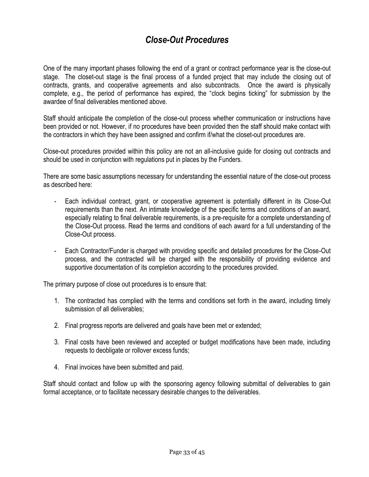# *Close-Out Procedures*

One of the many important phases following the end of a grant or contract performance year is the close-out stage. The closet-out stage is the final process of a funded project that may include the closing out of contracts, grants, and cooperative agreements and also subcontracts. Once the award is physically complete, e.g., the period of performance has expired, the "clock begins ticking" for submission by the awardee of final deliverables mentioned above.

Staff should anticipate the completion of the close-out process whether communication or instructions have been provided or not. However, if no procedures have been provided then the staff should make contact with the contractors in which they have been assigned and confirm if/what the closet-out procedures are.

Close-out procedures provided within this policy are not an all-inclusive guide for closing out contracts and should be used in conjunction with regulations put in places by the Funders.

There are some basic assumptions necessary for understanding the essential nature of the close-out process as described here:

- Each individual contract, grant, or cooperative agreement is potentially different in its Close-Out requirements than the next. An intimate knowledge of the specific terms and conditions of an award, especially relating to final deliverable requirements, is a pre-requisite for a complete understanding of the Close-Out process. Read the terms and conditions of each award for a full understanding of the Close-Out process.
- Each Contractor/Funder is charged with providing specific and detailed procedures for the Close-Out process, and the contracted will be charged with the responsibility of providing evidence and supportive documentation of its completion according to the procedures provided.

The primary purpose of close out procedures is to ensure that:

- 1. The contracted has complied with the terms and conditions set forth in the award, including timely submission of all deliverables:
- 2. Final progress reports are delivered and goals have been met or extended;
- 3. Final costs have been reviewed and accepted or budget modifications have been made, including requests to deobligate or rollover excess funds;
- 4. Final invoices have been submitted and paid.

Staff should contact and follow up with the sponsoring agency following submittal of deliverables to gain formal acceptance, or to facilitate necessary desirable changes to the deliverables.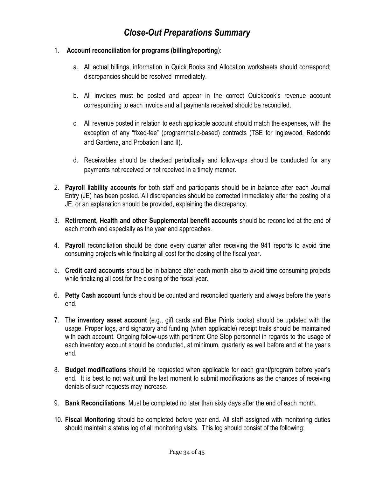# *Close-Out Preparations Summary*

#### 1. **Account reconciliation for programs (billing/reporting**):

- a. All actual billings, information in Quick Books and Allocation worksheets should correspond; discrepancies should be resolved immediately.
- b. All invoices must be posted and appear in the correct Quickbook's revenue account corresponding to each invoice and all payments received should be reconciled.
- c. All revenue posted in relation to each applicable account should match the expenses, with the exception of any "fixed-fee" (programmatic-based) contracts (TSE for Inglewood, Redondo and Gardena, and Probation I and II).
- d. Receivables should be checked periodically and follow-ups should be conducted for any payments not received or not received in a timely manner.
- 2. **Payroll liability accounts** for both staff and participants should be in balance after each Journal Entry (JE) has been posted. All discrepancies should be corrected immediately after the posting of a JE, or an explanation should be provided, explaining the discrepancy.
- 3. **Retirement, Health and other Supplemental benefit accounts** should be reconciled at the end of each month and especially as the year end approaches.
- 4. **Payroll** reconciliation should be done every quarter after receiving the 941 reports to avoid time consuming projects while finalizing all cost for the closing of the fiscal year.
- 5. **Credit card accounts** should be in balance after each month also to avoid time consuming projects while finalizing all cost for the closing of the fiscal year.
- 6. **Petty Cash account** funds should be counted and reconciled quarterly and always before the year's end.
- 7. The **inventory asset account** (e.g., gift cards and Blue Prints books) should be updated with the usage. Proper logs, and signatory and funding (when applicable) receipt trails should be maintained with each account. Ongoing follow-ups with pertinent One Stop personnel in regards to the usage of each inventory account should be conducted, at minimum, quarterly as well before and at the year's end.
- 8. **Budget modifications** should be requested when applicable for each grant/program before year's end. It is best to not wait until the last moment to submit modifications as the chances of receiving denials of such requests may increase.
- 9. **Bank Reconciliations**: Must be completed no later than sixty days after the end of each month.
- 10. **Fiscal Monitoring** should be completed before year end. All staff assigned with monitoring duties should maintain a status log of all monitoring visits. This log should consist of the following: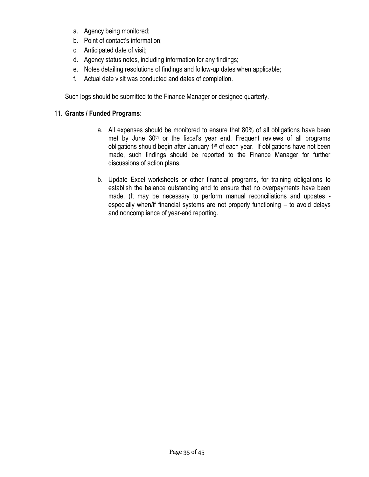- a. Agency being monitored;
- b. Point of contact's information;
- c. Anticipated date of visit;
- d. Agency status notes, including information for any findings;
- e. Notes detailing resolutions of findings and follow-up dates when applicable;
- f. Actual date visit was conducted and dates of completion.

Such logs should be submitted to the Finance Manager or designee quarterly.

# 11. **Grants / Funded Programs**:

- a. All expenses should be monitored to ensure that 80% of all obligations have been met by June  $30<sup>th</sup>$  or the fiscal's year end. Frequent reviews of all programs obligations should begin after January 1st of each year. If obligations have not been made, such findings should be reported to the Finance Manager for further discussions of action plans.
- b. Update Excel worksheets or other financial programs, for training obligations to establish the balance outstanding and to ensure that no overpayments have been made. (It may be necessary to perform manual reconciliations and updates especially when/if financial systems are not properly functioning – to avoid delays and noncompliance of year-end reporting.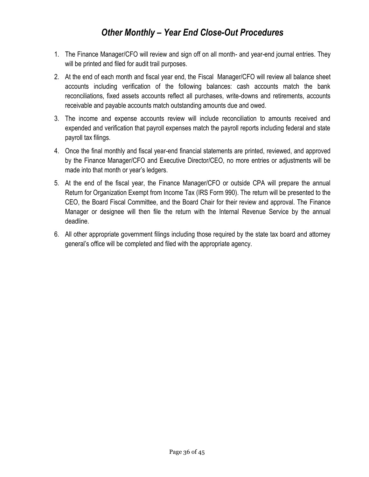# *Other Monthly – Year End Close-Out Procedures*

- 1. The Finance Manager/CFO will review and sign off on all month- and year-end journal entries. They will be printed and filed for audit trail purposes.
- 2. At the end of each month and fiscal year end, the Fiscal Manager/CFO will review all balance sheet accounts including verification of the following balances: cash accounts match the bank reconciliations, fixed assets accounts reflect all purchases, write-downs and retirements, accounts receivable and payable accounts match outstanding amounts due and owed.
- 3. The income and expense accounts review will include reconciliation to amounts received and expended and verification that payroll expenses match the payroll reports including federal and state payroll tax filings.
- 4. Once the final monthly and fiscal year-end financial statements are printed, reviewed, and approved by the Finance Manager/CFO and Executive Director/CEO, no more entries or adjustments will be made into that month or year's ledgers.
- 5. At the end of the fiscal year, the Finance Manager/CFO or outside CPA will prepare the annual Return for Organization Exempt from Income Tax (IRS Form 990). The return will be presented to the CEO, the Board Fiscal Committee, and the Board Chair for their review and approval. The Finance Manager or designee will then file the return with the Internal Revenue Service by the annual deadline.
- 6. All other appropriate government filings including those required by the state tax board and attorney general's office will be completed and filed with the appropriate agency.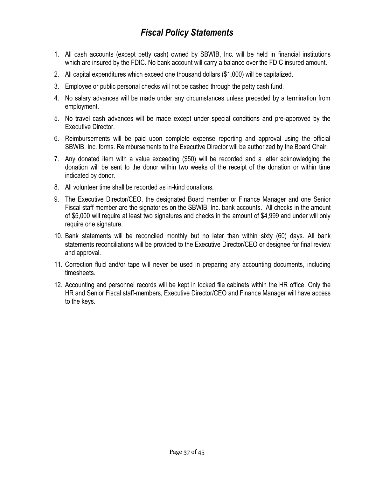# *Fiscal Policy Statements*

- <span id="page-36-0"></span>1. All cash accounts (except petty cash) owned by SBWIB, Inc. will be held in financial institutions which are insured by the FDIC. No bank account will carry a balance over the FDIC insured amount.
- 2. All capital expenditures which exceed one thousand dollars (\$1,000) will be capitalized.
- 3. Employee or public personal checks will not be cashed through the petty cash fund.
- 4. No salary advances will be made under any circumstances unless preceded by a termination from employment.
- 5. No travel cash advances will be made except under special conditions and pre-approved by the Executive Director.
- 6. Reimbursements will be paid upon complete expense reporting and approval using the official SBWIB, Inc. forms. Reimbursements to the Executive Director will be authorized by the Board Chair.
- 7. Any donated item with a value exceeding (\$50) will be recorded and a letter acknowledging the donation will be sent to the donor within two weeks of the receipt of the donation or within time indicated by donor.
- 8. All volunteer time shall be recorded as in-kind donations.
- 9. The Executive Director/CEO, the designated Board member or Finance Manager and one Senior Fiscal staff member are the signatories on the SBWIB, Inc. bank accounts. All checks in the amount of \$5,000 will require at least two signatures and checks in the amount of \$4,999 and under will only require one signature.
- 10. Bank statements will be reconciled monthly but no later than within sixty (60) days. All bank statements reconciliations will be provided to the Executive Director/CEO or designee for final review and approval.
- 11. Correction fluid and/or tape will never be used in preparing any accounting documents, including timesheets.
- 12. Accounting and personnel records will be kept in locked file cabinets within the HR office. Only the HR and Senior Fiscal staff-members, Executive Director/CEO and Finance Manager will have access to the keys.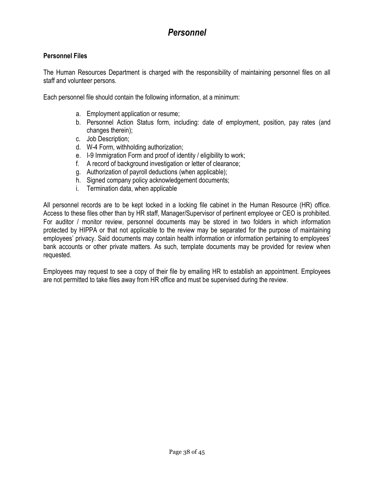# *Personnel*

### **Personnel Files**

The Human Resources Department is charged with the responsibility of maintaining personnel files on all staff and volunteer persons.

Each personnel file should contain the following information, at a minimum:

- a. Employment application or resume;
- b. Personnel Action Status form, including: date of employment, position, pay rates (and changes therein);
- c. Job Description;
- d. W-4 Form, withholding authorization;
- e. I-9 Immigration Form and proof of identity / eligibility to work;
- f. A record of background investigation or letter of clearance;
- g. Authorization of payroll deductions (when applicable);
- h. Signed company policy acknowledgement documents;
- i. Termination data, when applicable

All personnel records are to be kept locked in a locking file cabinet in the Human Resource (HR) office. Access to these files other than by HR staff, Manager/Supervisor of pertinent employee or CEO is prohibited. For auditor / monitor review, personnel documents may be stored in two folders in which information protected by HIPPA or that not applicable to the review may be separated for the purpose of maintaining employees' privacy. Said documents may contain health information or information pertaining to employees' bank accounts or other private matters. As such, template documents may be provided for review when requested.

Employees may request to see a copy of their file by emailing HR to establish an appointment. Employees are not permitted to take files away from HR office and must be supervised during the review.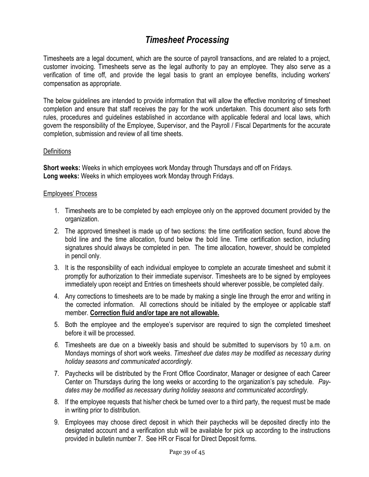# *Timesheet Processing*

<span id="page-38-0"></span>Timesheets are a legal document, which are the source of payroll transactions, and are related to a project, customer invoicing. Timesheets serve as the legal authority to pay an employee. They also serve as a verification of time off, and provide the legal basis to grant an employee benefits, including workers' compensation as appropriate.

The below guidelines are intended to provide information that will allow the effective monitoring of timesheet completion and ensure that staff receives the pay for the work undertaken. This document also sets forth rules, procedures and guidelines established in accordance with applicable federal and local laws, which govern the responsibility of the Employee, Supervisor, and the Payroll / Fiscal Departments for the accurate completion, submission and review of all time sheets.

#### **Definitions**

**Short weeks:** Weeks in which employees work Monday through Thursdays and off on Fridays. **Long weeks:** Weeks in which employees work Monday through Fridays.

#### Employees' Process

- 1. Timesheets are to be completed by each employee only on the approved document provided by the organization.
- 2. The approved timesheet is made up of two sections: the time certification section, found above the bold line and the time allocation, found below the bold line. Time certification section, including signatures should always be completed in pen. The time allocation, however, should be completed in pencil only.
- 3. It is the responsibility of each individual employee to complete an accurate timesheet and submit it promptly for authorization to their immediate supervisor. Timesheets are to be signed by employees immediately upon receipt and Entries on timesheets should wherever possible, be completed daily.
- 4. Any corrections to timesheets are to be made by making a single line through the error and writing in the corrected information. All corrections should be initialed by the employee or applicable staff member. **Correction fluid and/or tape are not allowable.**
- 5. Both the employee and the employee's supervisor are required to sign the completed timesheet before it will be processed.
- *6.* Timesheets are due on a biweekly basis and should be submitted to supervisors by 10 a.m. on Mondays mornings of short work weeks. *Timesheet due dates may be modified as necessary during holiday seasons and communicated accordingly.*
- 7. Paychecks will be distributed by the Front Office Coordinator, Manager or designee of each Career Center on Thursdays during the long weeks or according to the organization's pay schedule. *Paydates may be modified as necessary during holiday seasons and communicated accordingly.*
- 8. If the employee requests that his/her check be turned over to a third party, the request must be made in writing prior to distribution.
- 9. Employees may choose direct deposit in which their paychecks will be deposited directly into the designated account and a verification stub will be available for pick up according to the instructions provided in bulletin number 7. See HR or Fiscal for Direct Deposit forms.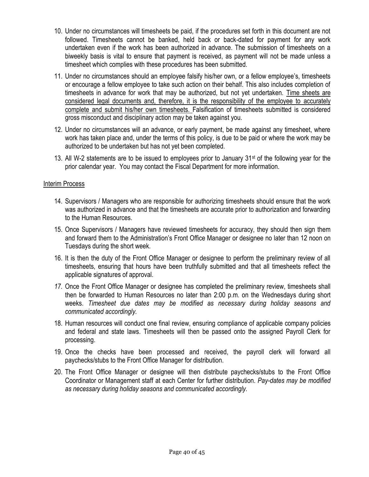- 10. Under no circumstances will timesheets be paid, if the procedures set forth in this document are not followed. Timesheets cannot be banked, held back or back-dated for payment for any work undertaken even if the work has been authorized in advance. The submission of timesheets on a biweekly basis is vital to ensure that payment is received, as payment will not be made unless a timesheet which complies with these procedures has been submitted.
- 11. Under no circumstances should an employee falsify his/her own, or a fellow employee's, timesheets or encourage a fellow employee to take such action on their behalf. This also includes completion of timesheets in advance for work that may be authorized, but not yet undertaken. Time sheets are considered legal documents and, therefore, it is the responsibility of the employee to accurately complete and submit his/her own timesheets. Falsification of timesheets submitted is considered gross misconduct and disciplinary action may be taken against you.
- 12. Under no circumstances will an advance, or early payment, be made against any timesheet, where work has taken place and, under the terms of this policy, is due to be paid or where the work may be authorized to be undertaken but has not yet been completed.
- 13. All W-2 statements are to be issued to employees prior to January  $31<sup>st</sup>$  of the following year for the prior calendar year. You may contact the Fiscal Department for more information.

#### Interim Process

- 14. Supervisors / Managers who are responsible for authorizing timesheets should ensure that the work was authorized in advance and that the timesheets are accurate prior to authorization and forwarding to the Human Resources.
- 15. Once Supervisors / Managers have reviewed timesheets for accuracy, they should then sign them and forward them to the Administration's Front Office Manager or designee no later than 12 noon on Tuesdays during the short week.
- 16. It is then the duty of the Front Office Manager or designee to perform the preliminary review of all timesheets, ensuring that hours have been truthfully submitted and that all timesheets reflect the applicable signatures of approval.
- *17.* Once the Front Office Manager or designee has completed the preliminary review, timesheets shall then be forwarded to Human Resources no later than 2:00 p.m. on the Wednesdays during short weeks. *Timesheet due dates may be modified as necessary during holiday seasons and communicated accordingly.*
- 18. Human resources will conduct one final review, ensuring compliance of applicable company policies and federal and state laws. Timesheets will then be passed onto the assigned Payroll Clerk for processing.
- 19. Once the checks have been processed and received, the payroll clerk will forward all paychecks/stubs to the Front Office Manager for distribution.
- 20. The Front Office Manager or designee will then distribute paychecks/stubs to the Front Office Coordinator or Management staff at each Center for further distribution. *Pay-dates may be modified as necessary during holiday seasons and communicated accordingly.*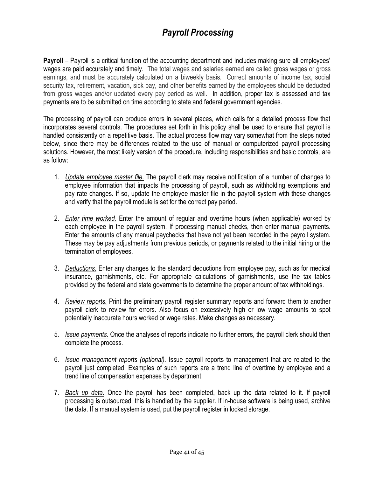# *Payroll Processing*

**Payroll** – Payroll is a critical function of the accounting department and includes making sure all employees' wages are paid accurately and timely. The total wages and salaries earned are called gross wages or gross earnings, and must be accurately calculated on a biweekly basis. Correct amounts of income tax, social security tax, retirement, vacation, sick pay, and other benefits earned by the employees should be deducted from gross wages and/or updated every pay period as well. In addition, proper tax is assessed and tax payments are to be submitted on time according to state and federal government agencies.

The processing of payroll can produce errors in several places, which calls for a detailed process flow that incorporates several controls. The procedures set forth in this policy shall be used to ensure that payroll is handled consistently on a repetitive basis. The actual process flow may vary somewhat from the steps noted below, since there may be differences related to the use of manual or computerized payroll processing solutions. However, the most likely version of the procedure, including responsibilities and basic controls, are as follow:

- 1. *Update employee master file.* The payroll clerk may receive notification of a number of changes to employee information that impacts the processing of payroll, such as withholding exemptions and pay rate changes. If so, update the employee master file in the payroll system with these changes and verify that the payroll module is set for the correct pay period.
- 2. *Enter time worked.* Enter the amount of regular and overtime hours (when applicable) worked by each employee in the payroll system. If processing manual checks, then enter manual payments. Enter the amounts of any manual paychecks that have not yet been recorded in the payroll system. These may be pay adjustments from previous periods, or payments related to the initial hiring or the termination of employees.
- 3. *Deductions.* Enter any changes to the standard deductions from employee pay, such as for medical insurance, garnishments, etc. For appropriate calculations of garnishments, use the tax tables provided by the federal and state governments to determine the proper amount of tax withholdings.
- 4. *Review reports.* Print the preliminary payroll register summary reports and forward them to another payroll clerk to review for errors. Also focus on excessively high or low wage amounts to spot potentially inaccurate hours worked or wage rates. Make changes as necessary.
- 5. *Issue payments.* Once the analyses of reports indicate no further errors, the payroll clerk should then complete the process.
- 6. *Issue management reports (optional).* Issue payroll reports to management that are related to the payroll just completed. Examples of such reports are a trend line of overtime by employee and a trend line of compensation expenses by department.
- 7. *Back up data.* Once the payroll has been completed, back up the data related to it. If payroll processing is outsourced, this is handled by the supplier. If in-house software is being used, archive the data. If a manual system is used, put the payroll register in locked storage.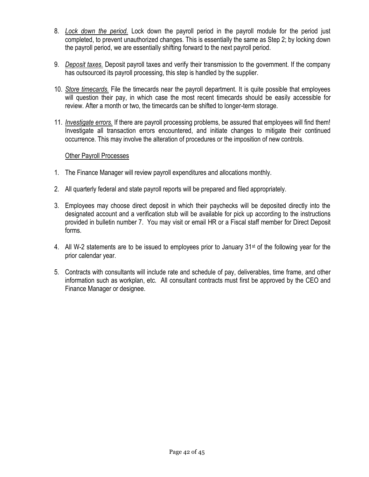- 8. *Lock down the period.* Lock down the payroll period in the payroll module for the period just completed, to prevent unauthorized changes. This is essentially the same as Step 2; by locking down the payroll period, we are essentially shifting forward to the next payroll period.
- 9. *Deposit taxes.* Deposit payroll taxes and verify their transmission to the government. If the company has outsourced its payroll processing, this step is handled by the supplier.
- 10. *Store timecards.* File the timecards near the payroll department. It is quite possible that employees will question their pay, in which case the most recent timecards should be easily accessible for review. After a month or two, the timecards can be shifted to longer-term storage.
- 11. *Investigate errors.* If there are payroll processing problems, be assured that employees will find them! Investigate all transaction errors encountered, and initiate changes to mitigate their continued occurrence. This may involve the alteration of procedures or the imposition of new controls.

### Other Payroll Processes

- 1. The Finance Manager will review payroll expenditures and allocations monthly.
- 2. All quarterly federal and state payroll reports will be prepared and filed appropriately.
- 3. Employees may choose direct deposit in which their paychecks will be deposited directly into the designated account and a verification stub will be available for pick up according to the instructions provided in bulletin number 7. You may visit or email HR or a Fiscal staff member for Direct Deposit forms.
- 4. All W-2 statements are to be issued to employees prior to January  $31<sup>st</sup>$  of the following year for the prior calendar year.
- 5. Contracts with consultants will include rate and schedule of pay, deliverables, time frame, and other information such as workplan, etc. All consultant contracts must first be approved by the CEO and Finance Manager or designee.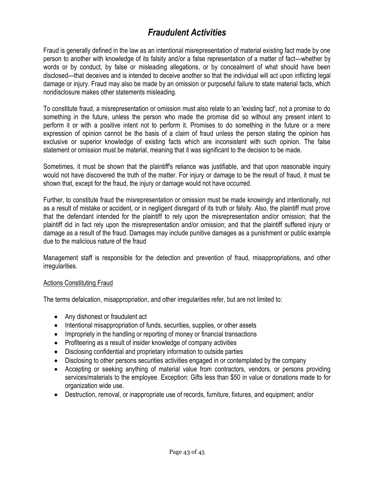# *Fraudulent Activities*

Fraud is generally defined in the law as an intentional misrepresentation of material existing fact made by one person to another with knowledge of its falsity and/or a false representation of a matter of fact—whether by words or by conduct, by false or misleading allegations, or by concealment of what should have been disclosed—that deceives and is intended to deceive another so that the individual will act upon inflicting legal damage or injury. Fraud may also be made by an omission or purposeful failure to state material facts, which nondisclosure makes other statements misleading.

To constitute fraud, a misrepresentation or omission must also relate to an 'existing fact', not a promise to do something in the future, unless the person who made the promise did so without any present intent to perform it or with a positive intent not to perform it. Promises to do something in the future or a mere expression of opinion cannot be the basis of a claim of fraud unless the person stating the opinion has exclusive or superior knowledge of existing facts which are inconsistent with such opinion. The false statement or omission must be material, meaning that it was significant to the decision to be made.

Sometimes, it must be shown that the plaintiff's reliance was justifiable, and that upon reasonable inquiry would not have discovered the truth of the matter. For injury or damage to be the result of fraud, it must be shown that, except for the fraud, the injury or damage would not have occurred.

Further, to constitute fraud the misrepresentation or omission must be made knowingly and intentionally, not as a result of mistake or accident, or in negligent disregard of its truth or falsity. Also, the plaintiff must prove that the defendant intended for the plaintiff to rely upon the misrepresentation and/or omission; that the plaintiff did in fact rely upon the misrepresentation and/or omission; and that the plaintiff suffered injury or damage as a result of the fraud. Damages may include punitive damages as a punishment or public example due to the malicious nature of the fraud

Management staff is responsible for the detection and prevention of fraud, misappropriations, and other irregularities.

### Actions Constituting Fraud

The terms defalcation, misappropriation, and other irregularities refer, but are not limited to:

- Any dishonest or fraudulent act
- Intentional misappropriation of funds, securities, supplies, or other assets
- Impropriety in the handling or reporting of money or financial transactions
- Profiteering as a result of insider knowledge of company activities
- Disclosing confidential and proprietary information to outside parties
- Disclosing to other persons securities activities engaged in or contemplated by the company
- Accepting or seeking anything of material value from contractors, vendors, or persons providing services/materials to the employee. Exception: Gifts less than \$50 in value or donations made to for organization wide use.
- Destruction, removal, or inappropriate use of records, furniture, fixtures, and equipment; and/or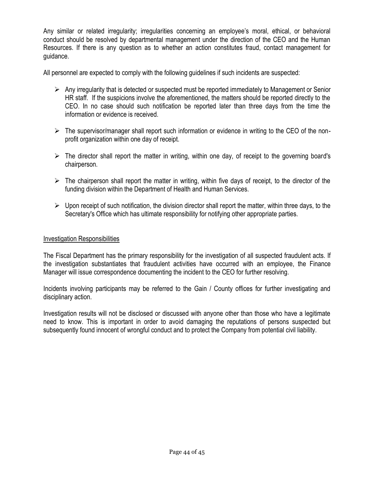Any similar or related irregularity; irregularities concerning an employee's moral, ethical, or behavioral conduct should be resolved by departmental management under the direction of the CEO and the Human Resources. If there is any question as to whether an action constitutes fraud, contact management for guidance.

All personnel are expected to comply with the following guidelines if such incidents are suspected:

- $\triangleright$  Any irregularity that is detected or suspected must be reported immediately to Management or Senior HR staff. If the suspicions involve the aforementioned, the matters should be reported directly to the CEO. In no case should such notification be reported later than three days from the time the information or evidence is received.
- $\triangleright$  The supervisor/manager shall report such information or evidence in writing to the CEO of the nonprofit organization within one day of receipt.
- $\triangleright$  The director shall report the matter in writing, within one day, of receipt to the governing board's chairperson.
- $\triangleright$  The chairperson shall report the matter in writing, within five days of receipt, to the director of the funding division within the Department of Health and Human Services.
- $\triangleright$  Upon receipt of such notification, the division director shall report the matter, within three days, to the Secretary's Office which has ultimate responsibility for notifying other appropriate parties.

#### Investigation Responsibilities

The Fiscal Department has the primary responsibility for the investigation of all suspected fraudulent acts. If the investigation substantiates that fraudulent activities have occurred with an employee, the Finance Manager will issue correspondence documenting the incident to the CEO for further resolving.

Incidents involving participants may be referred to the Gain / County offices for further investigating and disciplinary action.

Investigation results will not be disclosed or discussed with anyone other than those who have a legitimate need to know. This is important in order to avoid damaging the reputations of persons suspected but subsequently found innocent of wrongful conduct and to protect the Company from potential civil liability.